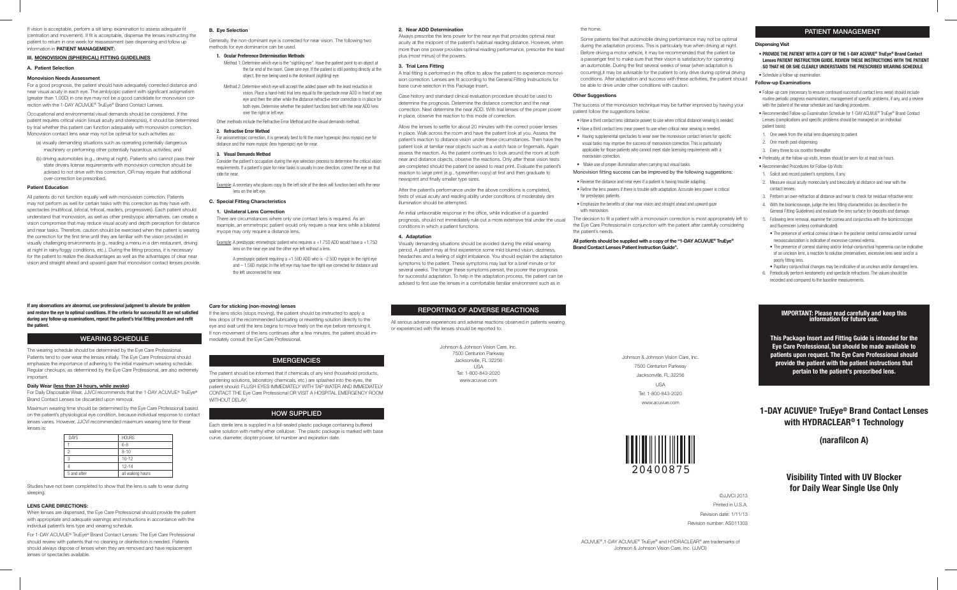If vision is acceptable, perform a slit lamp examination to assess adequate fit (centration and movement). If fit is acceptable, dispense the lenses instructing the patient to return in one week for reassessment (see dispensing and follow up information in **PATIENT MANAGEMENT**).

# **III. MONOVISION (SPHERICAL) FITTING GUIDELINES**

### **A. Patient Selection**

### **Monovision Needs Assessment**

For a good prognosis, the patient should have adequately corrected distance and near visual acuity in each eye. The amblyopic patient with significant astigmatism (greater than 1.00D) in one eye may not be a good candidate for monovision correction with the 1-DAY ACUVUE® TruEye® Brand Contact Lenses.

Occupational and environmental visual demands should be considered. If the patient requires critical vision (visual acuity and stereopsis), it should be determined by trial whether this patient can function adequately with monovision correction. Monovision contact lens wear may not be optimal for such activities as:

- (a) visually demanding situations such as operating potentially dangerous machinery or performing other potentially hazardous activities; and
- (b) driving automobiles (e.g., driving at night). Patients who cannot pass their state drivers license requirements with monovision correction should be advised to not drive with this correction, OR may require that additional over-correction be prescribed.

### **Patient Education**

All patients do not function equally well with monovision correction. Patients may not perform as well for certain tasks with this correction as they have with spectacles (multifocal, bifocal, trifocal, readers, progressives). Each patient should understand that monovision, as well as other presbyopic alternatives, can create a vision compromise that may reduce visual acuity and depth perception for distance and near tasks. Therefore, caution should be exercised when the patient is wearing the correction for the first time until they are familiar with the vision provided in visually challenging environments (e.g., reading a menu in a dim restaurant, driving at night in rainy/foggy conditions, etc.). During the fitting process, it is necessary for the patient to realize the disadvantages as well as the advantages of clear near vision and straight ahead and upward gaze that monovision contact lenses provide.

**If any observations are abnormal, use professional judgment to alleviate the problem and restore the eye to optimal conditions. If the criteria for successful fit are not satisfied during any follow-up examinations, repeat the patient's trial fitting procedure and refit the patient.**

### **WEARING SCHEDULE**

The wearing schedule should be determined by the Eye Care Professional. Patients tend to over wear the lenses initially. The Eye Care Professional should emphasize the importance of adhering to the initial maximum wearing schedule. Regular checkups, as determined by the Eye Care Professional, are also extremely important

### **Daily Wear (less than 24 hours, while awake)**

For Daily Disposable Wear, JJVCI recommends that the 1-DAY ACUVUE® TruEye® Brand Contact Lenses be discarded upon removal.

Maximum wearing time should be determined by the Eye Care Professional based on the patient's physiological eye condition, because individual response to contact lenses varies. However, JJCVI recommended maximum wearing time for these lenses is:

| <b>DAYS</b> | <b>HOURS</b>     |
|-------------|------------------|
|             | $6 - 8$          |
|             | $8 - 10$         |
|             | $10 - 12$        |
|             | $12 - 14$        |
| 5 and after | all waking hours |

Studies have not been completed to show that the lens is safe to wear during sleeping.

### **LENS CARE DIRECTIONS:**

When lenses are dispensed, the Eye Care Professional should provide the patient with appropriate and adequate warnings and instructions in accordance with the individual patient's lens type and wearing schedule.

For 1-DAY ACUVUE® TruEye® Brand Contact Lenses: The Eye Care Professional should review with patients that no cleaning or disinfection is needed. Patients should always dispose of lenses when they are removed and have replacement lenses or spectacles available.

### **B. Eye Selection**

Generally, the non-dominant eye is corrected for near vision. The following two methods for eye dominance can be used.

### **1. Ocular Preference Determination Methods**

 Method 1: Determine which eye is the "sighting eye". Have the patient point to an object at the far end of the room. Cover one eye. If the patient is still pointing directly at the object, the eye being used is the dominant (sighting) eye.

- Method 2: Determine which eye will accept the added power with the least reduction in vision. Place a hand-held trial lens equal to the spectacle near ADD in front of one eye and then the other while the distance refractive error correction is in place for both eyes. Determine whether the patient functions best with the near ADD lens over the right or left eve.
- Other methods include the Refractive Error Method and the visual demands method.

# **2. Refractive Error Method**

For anisometropic correction, it is generally best to fit the more hyperopic (less myopic) eye for distance and the more myopic (less hyperopic) eye for near.

#### **3. Visual Demands Method**

Consider the patient's occupation during the eye selection process to determine the critical vision requirements. If a patient's gaze for near tasks is usually in one direction, correct the eye on that side for near.

Example: A secretary who places copy to the left side of the desk will function best with the near lens on the left eye.

# **C. Special Fitting Characteristics**

### **1. Unilateral Lens Correction**

There are circumstances where only one contact lens is required. As an example, an emmetropic patient would only require a near lens while a bilateral myope may only require a distance lens.

Example: A presbyopic emmetropic patient who requires a +1.75D ADD would have a +1.75D lens on the near eye and the other eye left without a lens.

> A presbyopic patient requiring a +1.50D ADD who is –2.50D myopic in the right eye and – 1.50D myopic in the left eye may have the right eye corrected for distance and the left uncorrected for near.

### **Care for sticking (non-moving) lenses**

If the lens sticks (stops moving), the patient should be instructed to apply a few drops of the recommended lubricating or rewetting solution directly to the eye and wait until the lens begins to move freely on the eye before removing it. If non-movement of the lens continues after a few minutes, the patient should immediately consult the Eye Care Professional.

### **EMERGENCIES**

The patient should be informed that if chemicals of any kind (household products, gardening solutions, laboratory chemicals, etc.) are splashed into the eyes, the patient should: FLUSH EYES IMMEDIATELY WITH TAP WATER AND IMMEDIATELY CONTACT THE Eye Care Professional OR VISIT A HOSPITAL EMERGENCY ROOM WITHOUT DELAY.

# **HOW SUPPLIED**

Each sterile lens is supplied in a foil-sealed plastic package containing buffered saline solution with methyl ether cellulose. The plastic package is marked with base curve, diameter, diopter power, lot number and expiration date.

# **2. Near ADD Determination**

Always prescribe the lens power for the near eye that provides optimal near acuity at the midpoint of the patient's habitual reading distance. However, when more than one power provides optimal reading performance, prescribe the least plus (most minus) of the powers.

#### **3. Trial Lens Fitting**

A trial fitting is performed in the office to allow the patient to experience monovision correction. Lenses are fit according to the General Fitting Instructions for base curve selection in this Package Insert.

Case history and standard clinical evaluation procedure should be used to determine the prognosis. Determine the distance correction and the near correction. Next determine the near ADD. With trial lenses of the proper power in place, observe the reaction to this mode of correction.

Allow the lenses to settle for about 20 minutes with the correct power lenses in place. Walk across the room and have the patient look at you. Assess the patient's reaction to distance vision under these circumstances. Then have the patient look at familiar near objects such as a watch face or fingernails. Again assess the reaction. As the patient continues to look around the room at both near and distance objects, observe the reactions. Only after these vision tests are completed should the patient be asked to read print. Evaluate the patient's reaction to large print (e.g., typewritten copy) at first and then graduate to newsprint and finally smaller type sizes.

After the patient's performance under the above conditions is completed, tests of visual acuity and reading ability under conditions of moderately dim illumination should be attempted.

An initial unfavorable response in the office, while indicative of a guarded prognosis, should not immediately rule out a more extensive trial under the usual conditions in which a patient functions.

### **4. Adaptation**

Visually demanding situations should be avoided during the initial wearing period. A patient may at first experience some mild blurred vision, dizziness, headaches and a feeling of slight imbalance. You should explain the adaptation symptoms to the patient. These symptoms may last for a brief minute or for several weeks. The longer these symptoms persist, the poorer the prognosis for successful adaptation. To help in the adaptation process, the patient can be advised to first use the lenses in a comfortable familiar environment such as in

# **REPORTING OF ADVERSE REACTIONS**

All serious adverse experiences and adverse reactions observed in patients wearing or experienced with the lenses should be reported to:

> Johnson & Johnson Vision Care, Inc. 7500 Centurion Parkway Jacksonville, FL 32256 USA Tel: 1-800-843-2020 www.acuvue.com

the home.

Some patients feel that automobile driving performance may not be optimal during the adaptation process. This is particularly true when driving at night. Before driving a motor vehicle, it may be recommended that the patient be a passenger first to make sure that their vision is satisfactory for operating an automobile. During the first several weeks of wear (when adaptation is occurring),it may be advisable for the patient to only drive during optimal driving conditions. After adaptation and success with these activities, the patient should be able to drive under other conditions with caution.

#### **Other Suggestions**

The success of the monovision technique may be further improved by having your patient follow the suggestions below:

• Have a third contact lens (distance power) to use when critical distance viewing is needed. • Have a third contact lens (near power) to use when critical near viewing is needed.

- Having supplemental spectacles to wear over the monovision contact lenses for specific visual tasks may improve the success of monovision correction. This is particularly applicable for those patients who cannot meet state licensing requirements with a monovision correction.
- Make use of proper illumination when carrying out visual tasks.
- Monovision fitting success can be improved by the following suggestions:
- Reverse the distance and near eyes if a patient is having trouble adapting.
- Refine the lens powers if there is trouble with adaptation. Accurate lens power is critical for presbyopic patients.
- Emphasize the benefits of clear near vision and straight ahead and upward gaze with monovision

The decision to fit a patient with a monovision correction is most appropriately left to the Eye Care Professional in conjunction with the patient after carefully considering the patient's needs.

### **All patients should be supplied with a copy of the "1-DAY ACUVUE® TruEye® Brand Contact Lenses Patient Instruction Guide".**

Johnson & Johnson Vision Care, Inc. 7500 Centurion Parkway Jacksonville, FL 32256 USA Tel: 1-800-843-2020 www.acuvue.com

# **PATIENT MANAGEMENT**

### **Dispensing Visit**

### **• PROVIDE THE PATIENT WITH A COPY OF THE 1-DAY ACUVUE® TruEye® Brand Contact Lenses PATIENT INSTRUCTION GUIDE. REVIEW THESE INSTRUCTIONS WITH THE PATIENT SO THAT HE OR SHE CLEARLY UNDERSTANDS THE PRESCRIBED WEARING SCHEDULE**.

**• Schedule a follow-up examination.** 

# **Follow-up Examinations**

tFollow-up care (necessary to ensure continued successful contact lens wear) should include routine periodic progress examinations, management of specific problems, if any, and a review with the patient of the wear schedule and handling procedures.

● Recommended Follow-up Examination Schedule for 1-DAY ACUVUE® TruEye® Brand Contact Lenses (complications and specific problems should be managed on an individual natient hasis)

- 1. One week from the initial lens dispensing to patient
- 2. One month post-dispensing
- 3. Every three to six months thereafter

• Preferably, at the follow-up visits, lenses should be worn for at least six hours. . Recommended Procedures for Follow-Up Visits:

- 1. Solicit and record patient's symptoms, if any
- 2. Measure visual acuity monocularly and binocularly at distance and near with the contact lenses.
- 3. Perform an over-refraction at distance and near to check for residual refractive error. 4. With the biomicroscope, judge the lens fitting characteristics (as described in the General Fitting Guidelines) and evaluate the lens surface for deposits and damage.
- 5. Following lens removal, examine the cornea and conjunctiva with the biomicroscope and fluorescein (unless contraindicated).
- The presence of vertical corneal striae in the posterior central cornea and/or corneal neovascularization is indicative of excessive corneal edema.
- The presence of corneal staining and/or limbal-conjunctival hyperemia can be indicative of an unclean lens, a reaction to solution preservatives, excessive lens wear and/or a poorly fitting lens.
- Papillary conjunctival changes may be indicative of an unclean and/or damaged lens.
- 6. Periodically perform keratometry and spectacle refractions. The values should be recorded and compared to the baseline measurements.

# **IMPORTANT: Please read carefully and keep this information for future use.**

**This Package Insert and Fitting Guide is intended for the Eye Care Professional, but should be made available to patients upon request. The Eye Care Professional should provide the patient with the patient instructions that pertain to the patient's prescribed lens.**

# **1-DAY ACUVUE® TruEye® Brand Contact Lenses with HYDRACLEAR® 1 Technology**

# **(narafilcon A)**

**Visibility Tinted with UV Blocker for Daily Wear Single Use Only**

©JJVCI 2013 Printed in U.S.A. Revision date: 1/11/13 Revision number: AS011303

ACUVUE®, 1-DAY ACUVUE® TruEye® and HYDRACLEAR® are trademarks of Johnson & Johnson Vision Care, Inc. (JJVCI)